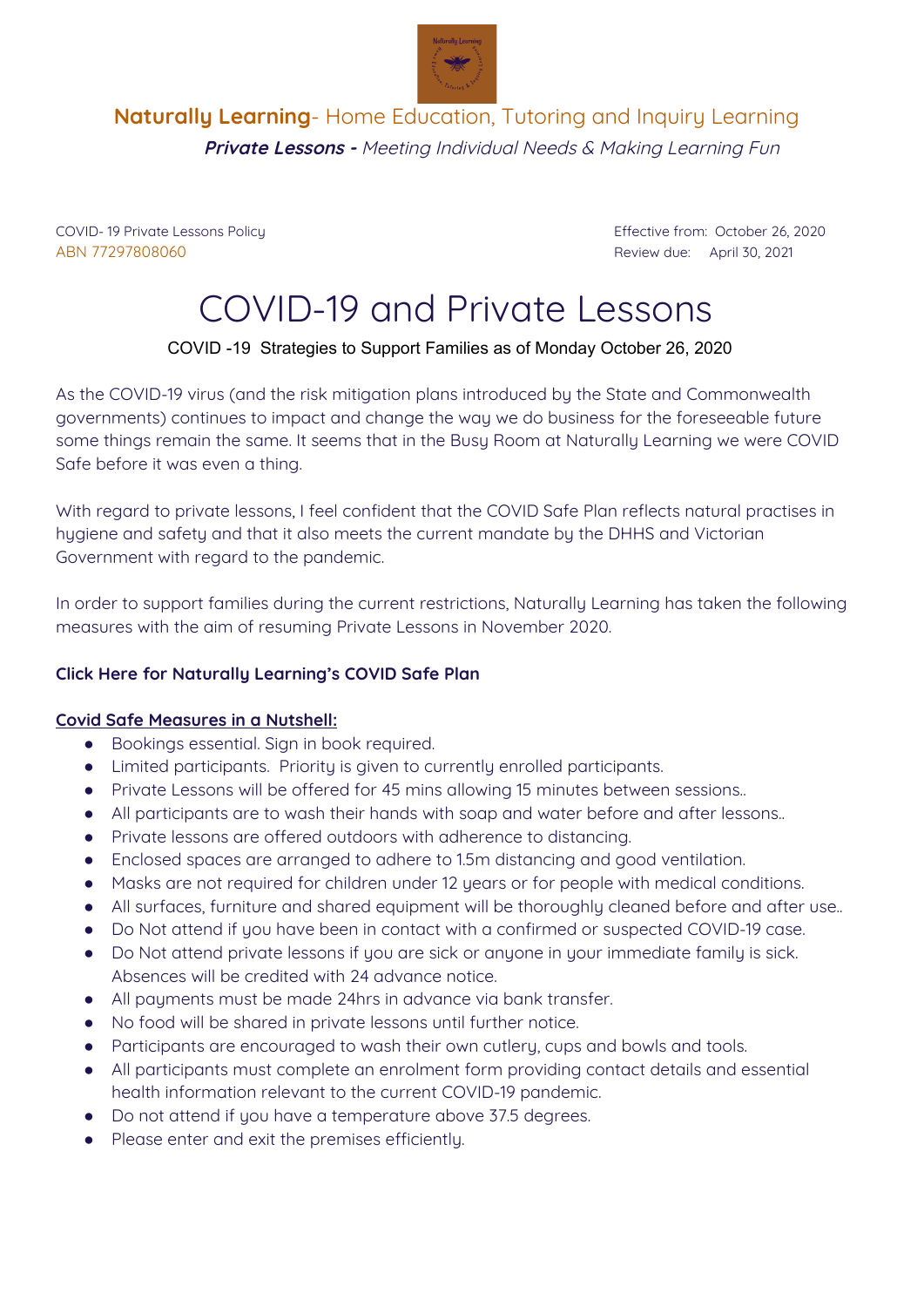

## **Naturally Learning**- Home Education, Tutoring and Inquiry Learning **Private Lessons -** Meeting Individual Needs & Making Learning Fun

ABN 77297808060 Review due: April 30, 2021

COVID- 19 Private Lessons Policy Effective from: October 26, 2020

# COVID-19 and Private Lessons

### COVID -19 Strategies to Support Families as of Monday October 26, 2020

As the COVID-19 virus (and the risk mitigation plans introduced by the State and Commonwealth governments) continues to impact and change the way we do business for the foreseeable future some things remain the same. It seems that in the Busy Room at Naturally Learning we were COVID Safe before it was even a thing.

With regard to private lessons, I feel confident that the COVID Safe Plan reflects natural practises in hygiene and safety and that it also meets the current mandate by the DHHS and Victorian Government with regard to the pandemic.

In order to support families during the current restrictions, Naturally Learning has taken the following measures with the aim of resuming Private Lessons in November 2020.

#### **Click Here for Naturally Learning's COVID Safe Plan**

#### **Covid Safe Measures in a Nutshell:**

- Bookings essential. Sign in book required.
- Limited participants. Priority is given to currently enrolled participants.
- Private Lessons will be offered for 45 mins allowing 15 minutes between sessions..
- All participants are to wash their hands with soap and water before and after lessons..
- Private lessons are offered outdoors with adherence to distancing.
- Enclosed spaces are arranged to adhere to 1.5m distancing and good ventilation.
- Masks are not required for children under 12 years or for people with medical conditions.
- All surfaces, furniture and shared equipment will be thoroughly cleaned before and after use..
- Do Not attend if you have been in contact with a confirmed or suspected COVID-19 case.
- Do Not attend private lessons if you are sick or anyone in your immediate family is sick. Absences will be credited with 24 advance notice.
- All payments must be made 24hrs in advance via bank transfer.
- No food will be shared in private lessons until further notice.
- Participants are encouraged to wash their own cutlery, cups and bowls and tools.
- All participants must complete an enrolment form providing contact details and essential health information relevant to the current COVID-19 pandemic.
- Do not attend if you have a temperature above 37.5 degrees.
- Please enter and exit the premises efficiently.